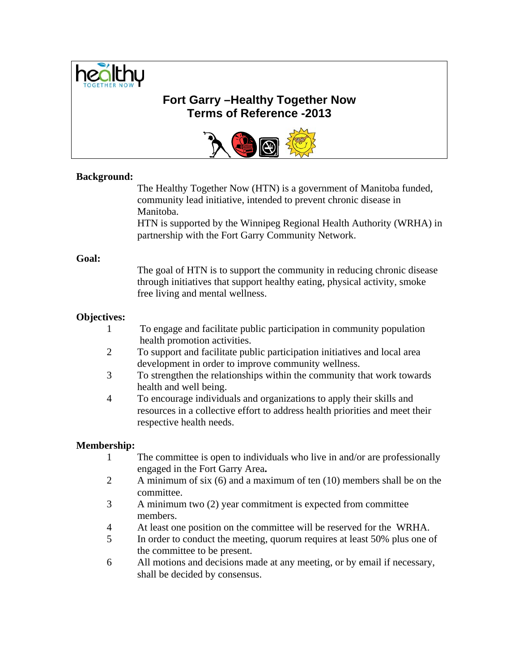

# **Fort Garry –Healthy Together Now Terms of Reference -2013**



#### **Background:**

The Healthy Together Now (HTN) is a government of Manitoba funded, community lead initiative, intended to prevent chronic disease in Manitoba.

HTN is supported by the Winnipeg Regional Health Authority (WRHA) in partnership with the Fort Garry Community Network.

#### **Goal:**

 The goal of HTN is to support the community in reducing chronic disease through initiatives that support healthy eating, physical activity, smoke free living and mental wellness.

## **Objectives:**

- 1 To engage and facilitate public participation in community population health promotion activities.
- 2 To support and facilitate public participation initiatives and local area development in order to improve community wellness.
- 3 To strengthen the relationships within the community that work towards health and well being.
- 4 To encourage individuals and organizations to apply their skills and resources in a collective effort to address health priorities and meet their respective health needs.

#### **Membership:**

- 1 The committee is open to individuals who live in and/or are professionally engaged in the Fort Garry Area**.**
- 2 A minimum of six (6) and a maximum of ten (10) members shall be on the committee.
- 3 A minimum two (2) year commitment is expected from committee members.
- 4 At least one position on the committee will be reserved for the WRHA.
- 5 In order to conduct the meeting, quorum requires at least 50% plus one of the committee to be present.
- 6 All motions and decisions made at any meeting, or by email if necessary, shall be decided by consensus.